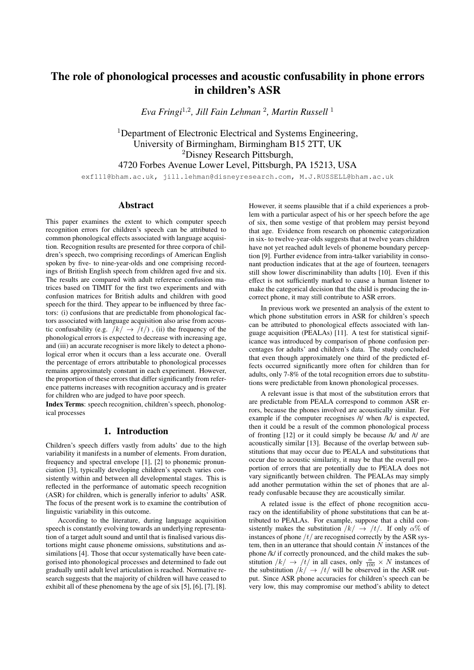# The role of phonological processes and acoustic confusability in phone errors in children's ASR

*Eva Fringi*<sup>1</sup>,<sup>2</sup> *, Jill Fain Lehman* <sup>2</sup> *, Martin Russell* <sup>1</sup>

<sup>1</sup>Department of Electronic Electrical and Systems Engineering, University of Birmingham, Birmingham B15 2TT, UK <sup>2</sup>Disney Research Pittsburgh, 4720 Forbes Avenue Lower Level, Pittsburgh, PA 15213, USA

exf111@bham.ac.uk, jill.lehman@disneyresearch.com, M.J.RUSSELL@bham.ac.uk

# Abstract

This paper examines the extent to which computer speech recognition errors for children's speech can be attributed to common phonological effects associated with language acquisition. Recognition results are presented for three corpora of children's speech, two comprising recordings of American English spoken by five- to nine-year-olds and one comprising recordings of British English speech from children aged five and six. The results are compared with adult reference confusion matrices based on TIMIT for the first two experiments and with confusion matrices for British adults and children with good speech for the third. They appear to be influenced by three factors: (i) confusions that are predictable from phonological factors associated with language acquisition also arise from acoustic confusability (e.g.  $/k/ \rightarrow /t/$ ), (ii) the frequency of the phonological errors is expected to decrease with increasing age, and (iii) an accurate recogniser is more likely to detect a phonological error when it occurs than a less accurate one. Overall the percentage of errors attributable to phonological processes remains approximately constant in each experiment. However, the proportion of these errors that differ significantly from reference patterns increases with recognition accuracy and is greater for children who are judged to have poor speech.

Index Terms: speech recognition, children's speech, phonological processes

# 1. Introduction

Children's speech differs vastly from adults' due to the high variability it manifests in a number of elements. From duration, frequency and spectral envelope [1], [2] to phonemic pronunciation [3], typically developing children's speech varies consistently within and between all developmental stages. This is reflected in the performance of automatic speech recognition (ASR) for children, which is generally inferior to adults' ASR. The focus of the present work is to examine the contribution of linguistic variability in this outcome.

According to the literature, during language acquisition speech is constantly evolving towards an underlying representation of a target adult sound and until that is finalised various distortions might cause phoneme omissions, substitutions and assimilations [4]. Those that occur systematically have been categorised into phonological processes and determined to fade out gradually until adult level articulation is reached. Normative research suggests that the majority of children will have ceased to exhibit all of these phenomena by the age of six [5], [6], [7], [8].

However, it seems plausible that if a child experiences a problem with a particular aspect of his or her speech before the age of six, then some vestige of that problem may persist beyond that age. Evidence from research on phonemic categorization in six- to twelve-year-olds suggests that at twelve years children have not yet reached adult levels of phoneme boundary perception [9]. Further evidence from intra-talker variability in consonant production indicates that at the age of fourteen, teenagers still show lower discriminability than adults [10]. Even if this effect is not sufficiently marked to cause a human listener to make the categorical decision that the child is producing the incorrect phone, it may still contribute to ASR errors.

In previous work we presented an analysis of the extent to which phone substitution errors in ASR for children's speech can be attributed to phonological effects associated with language acquisition (PEALAs) [11]. A test for statistical significance was introduced by comparison of phone confusion percentages for adults' and children's data. The study concluded that even though approximately one third of the predicted effects occurred significantly more often for children than for adults, only 7-8% of the total recognition errors due to substitutions were predictable from known phonological processes.

A relevant issue is that most of the substitution errors that are predictable from PEALA correspond to common ASR errors, because the phones involved are acoustically similar. For example if the computer recognises /t/ when /k/ is expected, then it could be a result of the common phonological process of fronting [12] or it could simply be because /k/ and /t/ are acoustically similar [13]. Because of the overlap between substitutions that may occur due to PEALA and substitutions that occur due to acoustic similarity, it may be that the overall proportion of errors that are potentially due to PEALA does not vary significantly between children. The PEALAs may simply add another permutation within the set of phones that are already confusable because they are acoustically similar.

A related issue is the effect of phone recognition accuracy on the identifiability of phone substitutions that can be attributed to PEALAs. For example, suppose that a child consistently makes the substitution  $/k \rightarrow /t/$ . If only  $\alpha$ % of instances of phone  $/t/$  are recognised correctly by the ASR system, then in an utterance that should contain  $N$  instances of the phone /k/ if correctly pronounced, and the child makes the substitution  $|k| \to |t|$  in all cases, only  $\frac{\alpha}{100} \times N$  instances of the substitution  $/k / \rightarrow /t/$  will be observed in the ASR output. Since ASR phone accuracies for children's speech can be very low, this may compromise our method's ability to detect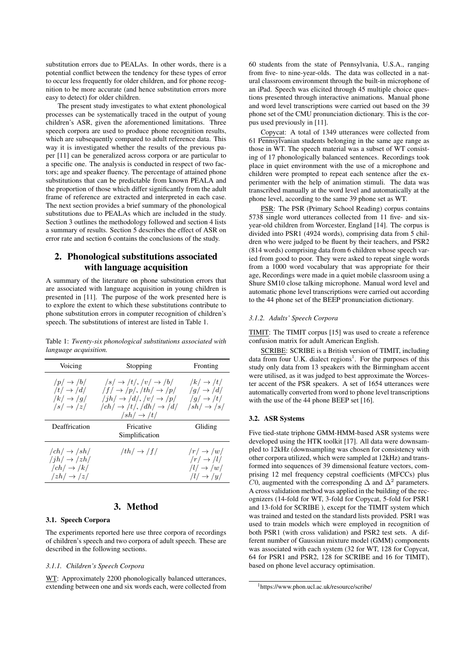substitution errors due to PEALAs. In other words, there is a potential conflict between the tendency for these types of error to occur less frequently for older children, and for phone recognition to be more accurate (and hence substitution errors more easy to detect) for older children.

The present study investigates to what extent phonological processes can be systematically traced in the output of young children's ASR, given the aforementioned limitations. Three speech corpora are used to produce phone recognition results, which are subsequently compared to adult reference data. This way it is investigated whether the results of the previous paper [11] can be generalized across corpora or are particular to a specific one. The analysis is conducted in respect of two factors; age and speaker fluency. The percentage of attained phone substitutions that can be predictable from known PEALA and the proportion of those which differ significantly from the adult frame of reference are extracted and interpreted in each case. The next section provides a brief summary of the phonological substitutions due to PEALAs which are included in the study. Section 3 outlines the methodology followed and section 4 lists a summary of results. Section 5 describes the effect of ASR on error rate and section 6 contains the conclusions of the study.

# 2. Phonological substitutions associated with language acquisition

A summary of the literature on phone substitution errors that are associated with language acquisition in young children is presented in [11]. The purpose of the work presented here is to explore the extent to which these substitutions contribute to phone substitution errors in computer recognition of children's speech. The substitutions of interest are listed in Table 1.

Table 1: *Twenty-six phonological substitutions associated with language acquisition.*

| Voicing                                                                                                | Stopping                                                                                                                                                                                                                     | Fronting                                                                                                   |  |
|--------------------------------------------------------------------------------------------------------|------------------------------------------------------------------------------------------------------------------------------------------------------------------------------------------------------------------------------|------------------------------------------------------------------------------------------------------------|--|
| $/p \rightarrow /b/$<br>$/t/\rightarrow/d/$<br>$/k/\rightarrow$ /g/<br>$ s \rightarrow  z $            | $ s  \rightarrow  t ,  v  \rightarrow  b $<br>$/f/\rightarrow$ /p/, /th/ $\rightarrow$ /p/<br>$/jh/ \rightarrow /d/$ , $/v/ \rightarrow /p/$<br>$/ch/\rightarrow /t/$ , $/dh/\rightarrow /d/$<br>$\sqrt{sh}/\rightarrow$ /t/ | $/k/\rightarrow/t/$<br>$/g/\rightarrow/d/$<br>$/q \rightarrow /t/$<br>$\sqrt{sh}$ $\rightarrow$ $\sqrt{s}$ |  |
| Deaffrication                                                                                          | Fricative<br>Simplification                                                                                                                                                                                                  | Gliding                                                                                                    |  |
| $/ch/ \rightarrow /sh/$<br>$/jh/ \rightarrow /zh/$<br>$/ch/ \rightarrow /k/$<br>$ zh  \rightarrow  z $ | $/th/ \rightarrow /f/$                                                                                                                                                                                                       | $/r \rightarrow /w/$<br>$/r \rightarrow /l/$<br>$/l/\rightarrow/w/$<br>$/l/\rightarrow$ /y/                |  |

# 3. Method

### 3.1. Speech Corpora

The experiments reported here use three corpora of recordings of children's speech and two corpora of adult speech. These are described in the following sections.

#### *3.1.1. Children's Speech Corpora*

WT: Approximately 2200 phonologically balanced utterances, extending between one and six words each, were collected from 60 students from the state of Pennsylvania, U.S.A., ranging from five- to nine-year-olds. The data was collected in a natural classroom environment through the built-in microphone of an iPad. Speech was elicited through 45 multiple choice questions presented through interactive animations. Manual phone and word level transcriptions were carried out based on the 39 phone set of the CMU pronunciation dictionary. This is the corpus used previously in [11].

Copycat: A total of 1349 utterances were collected from 61 Pennsylvanian students belonging in the same age range as those in WT. The speech material was a subset of WT consisting of 17 phonologically balanced sentences. Recordings took place in quiet environment with the use of a microphone and children were prompted to repeat each sentence after the experimenter with the help of animation stimuli. The data was transcribed manually at the word level and automatically at the phone level, according to the same 39 phone set as WT.

PSR: The PSR (Primary School Reading) corpus contains 5738 single word utterances collected from 11 five- and sixyear-old children from Worcester, England [14]. The corpus is divided into PSR1 (4924 words), comprising data from 5 children who were judged to be fluent by their teachers, and PSR2 (814 words) comprising data from 6 children whose speech varied from good to poor. They were asked to repeat single words from a 1000 word vocabulary that was appropriate for their age, Recordings were made in a quiet mobile classroom using a Shure SM10 close talking microphone. Manual word level and automatic phone level transcriptions were carried out according to the 44 phone set of the BEEP pronunciation dictionary.

### *3.1.2. Adults' Speech Corpora*

TIMIT: The TIMIT corpus [15] was used to create a reference confusion matrix for adult American English.

SCRIBE: SCRIBE is a British version of TIMIT, including data from four U.K. dialect regions<sup>1</sup>. For the purposes of this study only data from 13 speakers with the Birmingham accent were utilised, as it was judged to best approximate the Worcester accent of the PSR speakers. A set of 1654 utterances were automatically converted from word to phone level transcriptions with the use of the 44 phone BEEP set [16].

#### 3.2. ASR Systems

Five tied-state triphone GMM-HMM-based ASR systems were developed using the HTK toolkit [17]. All data were downsampled to 12kHz (downsampling was chosen for consistency with other corpora utilized, which were sampled at 12kHz) and transformed into sequences of 39 dimensional feature vectors, comprising 12 mel frequency cepstral coefficients (MFCCs) plus C0, augmented with the corresponding  $\Delta$  and  $\Delta^2$  parameters. A cross validation method was applied in the building of the recognizers (14-fold for WT, 3-fold for Copycat, 5-fold for PSR1 and 13-fold for SCRIBE ), except for the TIMIT system which was trained and tested on the standard lists provided. PSR1 was used to train models which were employed in recognition of both PSR1 (with cross validation) and PSR2 test sets. A different number of Gaussian mixture model (GMM) components was associated with each system (32 for WT, 128 for Copycat, 64 for PSR1 and PSR2, 128 for SCRIBE and 16 for TIMIT), based on phone level accuracy optimisation.

<sup>1</sup>https://www.phon.ucl.ac.uk/resource/scribe/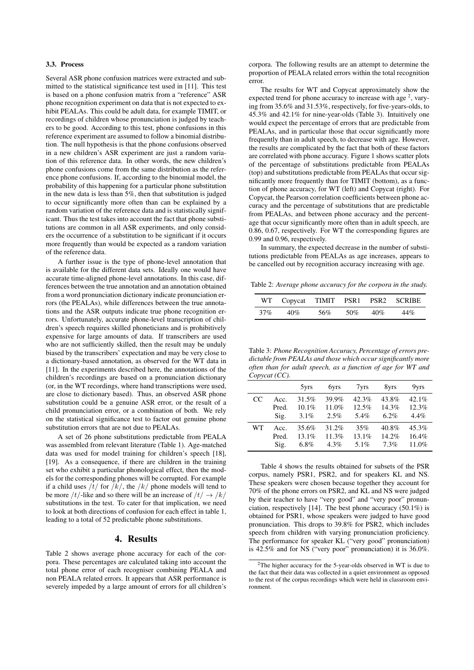### 3.3. Process

Several ASR phone confusion matrices were extracted and submitted to the statistical significance test used in [11]. This test is based on a phone confusion matrix from a "reference" ASR phone recognition experiment on data that is not expected to exhibit PEALAs. This could be adult data, for example TIMIT, or recordings of children whose pronunciation is judged by teachers to be good. According to this test, phone confusions in this reference experiment are assumed to follow a binomial distribution. The null hypothesis is that the phone confusions observed in a new children's ASR experiment are just a random variation of this reference data. In other words, the new children's phone confusions come from the same distribution as the reference phone confusions. If, according to the binomial model, the probability of this happening for a particular phone substitution in the new data is less than 5%, then that substitution is judged to occur significantly more often than can be explained by a random variation of the reference data and is statistically significant. Thus the test takes into account the fact that phone substitutions are common in all ASR experiments, and only considers the occurrence of a substitution to be significant if it occurs more frequently than would be expected as a random variation of the reference data.

A further issue is the type of phone-level annotation that is available for the different data sets. Ideally one would have accurate time-aligned phone-level annotations. In this case, differences between the true annotation and an annotation obtained from a word pronunciation dictionary indicate pronunciation errors (the PEALAs), while differences between the true annotations and the ASR outputs indicate true phone recognition errors. Unfortunately, accurate phone-level transcription of children's speech requires skilled phoneticians and is prohibitively expensive for large amounts of data. If transcribers are used who are not sufficiently skilled, then the result may be unduly biased by the transcribers' expectation and may be very close to a dictionary-based annotation, as observed for the WT data in [11]. In the experiments described here, the annotations of the children's recordings are based on a pronunciation dictionary (or, in the WT recordings, where hand transcriptions were used, are close to dictionary based). Thus, an observed ASR phone substitution could be a genuine ASR error, or the result of a child pronunciation error, or a combination of both. We rely on the statistical significance test to factor out genuine phone substitution errors that are not due to PEALAs.

A set of 26 phone substitutions predictable from PEALA was assembled from relevant literature (Table 1). Age-matched data was used for model training for children's speech [18], [19]. As a consequence, if there are children in the training set who exhibit a particular phonological effect, then the models for the corresponding phones will be corrupted. For example if a child uses  $/t/$  for  $/k/$ , the  $/k/$  phone models will tend to be more /t/-like and so there will be an increase of  $/t / \rightarrow /k/$ substitutions in the test. To cater for that implication, we need to look at both directions of confusion for each effect in table 1, leading to a total of 52 predictable phone substitutions.

### 4. Results

Table 2 shows average phone accuracy for each of the corpora. These percentages are calculated taking into account the total phone error of each recogniser combining PEALA and non PEALA related errors. It appears that ASR performance is severely impeded by a large amount of errors for all children's corpora. The following results are an attempt to determine the proportion of PEALA related errors within the total recognition error.

The results for WT and Copycat approximately show the expected trend for phone accuracy to increase with age  $2$ , varying from 35.6% and 31.53%, respectively, for five-years-olds, to 45.3% and 42.1% for nine-year-olds (Table 3). Intuitively one would expect the percentage of errors that are predictable from PEALAs, and in particular those that occur significantly more frequently than in adult speech, to decrease with age. However, the results are complicated by the fact that both of these factors are correlated with phone accuracy. Figure 1 shows scatter plots of the percentage of substitutions predictable from PEALAs (top) and substitutions predictable from PEALAs that occur significantly more frequently than for TIMIT (bottom), as a function of phone accuracy, for WT (left) and Copycat (right). For Copycat, the Pearson correlation coefficients between phone accuracy and the percentage of substitutions that are predictable from PEALAs, and between phone accuracy and the percentage that occur significantly more often than in adult speech, are 0.86, 0.67, respectively. For WT the corresponding figures are 0.99 and 0.96, respectively.

In summary, the expected decrease in the number of substitutions predictable from PEALAs as age increases, appears to be cancelled out by recognition accuracy increasing with age.

Table 2: *Average phone accuracy for the corpora in the study.*

|     | WT Copycat TIMIT PSR1 PSR2 SCRIBE |     |     |     |     |
|-----|-----------------------------------|-----|-----|-----|-----|
| 37% | 40%                               | 56% | 50% | 40% | 44% |

Table 3: *Phone Recognition Accuracy, Percentage of errors predictable from PEALAs and those which occur significantly more often than for adult speech, as a function of age for WT and Copycat (CC).*

|    |       | 5yrs     | 6yrs    | 7yrs    | 8yrs     | 9yrs    |
|----|-------|----------|---------|---------|----------|---------|
| CC | Acc.  | 31.5%    | 39.9%   | 42.3%   | 43.8%    | 42.1%   |
|    | Pred. | $10.1\%$ | 11.0%   | 12.5%   | 14.3%    | 12.3%   |
|    | Sig.  | $3.1\%$  | 2.5%    | $5.4\%$ | $6.2\%$  | $4.4\%$ |
| WТ | Acc.  | 35.6%    | 31.2%   | 35%     | $40.8\%$ | 45.3%   |
|    | Pred. | $13.1\%$ | 11.3%   | 13.1%   | 14.2%    | 16.4%   |
|    | Sig.  | $6.8\%$  | $4.3\%$ | 5.1%    | 7.3%     | 11.0%   |

Table 4 shows the results obtained for subsets of the PSR corpus, namely PSR1, PSR2, and for speakers KL and NS. These speakers were chosen because together they account for 70% of the phone errors on PSR2, and KL and NS were judged by their teacher to have "very good" and "very poor" pronunciation, respectively [14]. The best phone accuracy (50.1%) is obtained for PSR1, whose speakers were judged to have good pronunciation. This drops to 39.8% for PSR2, which includes speech from children with varying pronunciation proficiency. The performance for speaker KL ("very good" pronunciation) is 42.5% and for NS ("very poor" pronunciation) it is 36.0%.

<sup>&</sup>lt;sup>2</sup>The higher accuracy for the 5-year-olds observed in WT is due to the fact that their data was collected in a quiet environment as opposed to the rest of the corpus recordings which were held in classroom environment.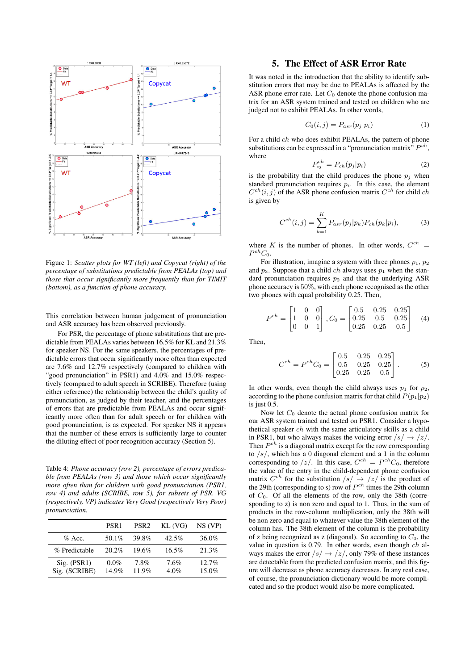

Figure 1: *Scatter plots for WT (left) and Copycat (right) of the percentage of substitutions predictable from PEALAs (top) and those that occur significantly more frequently than for TIMIT (bottom), as a function of phone accuracy.*

This correlation between human judgement of pronunciation and ASR accuracy has been observed previously.

For PSR, the percentage of phone substitutions that are predictable from PEALAs varies between 16.5% for KL and 21.3% for speaker NS. For the same speakers, the percentages of predictable errors that occur significantly more often than expected are 7.6% and 12.7% respectively (compared to children with "good pronunciation" in PSR1) and 4.0% and 15.0% respectively (compared to adult speech in SCRIBE). Therefore (using either reference) the relationship between the child's quality of pronunciation, as judged by their teacher, and the percentages of errors that are predictable from PEALAs and occur significantly more often than for adult speech or for children with good pronunciation, is as expected. For speaker NS it appears that the number of these errors is sufficiently large to counter the diluting effect of poor recognition accuracy (Section 5).

Table 4: *Phone accuracy (row 2), percentage of errors predicable from PEALAs (row 3) and those which occur significantly more often than for children with good pronunciation (PSR1, row 4) and adults (SCRIBE, row 5), for subsets of PSR. VG (respectively, VP) indicates Very Good (respectively Very Poor) pronunciation.*

|                              | PSR <sub>1</sub>    | PSR <sub>2</sub> | KL(VG)          | NS (VP)              |
|------------------------------|---------------------|------------------|-----------------|----------------------|
| $\%$ Acc.                    | 50.1%               | 39.8%            | $42.5\%$        | 36.0%                |
| % Predictable                | 20.2%               | 19.6%            | $16.5\%$        | 21.3%                |
| Sig. (PSR1)<br>Sig. (SCRIBE) | $0.0\%$<br>$14.9\%$ | $7.8\%$<br>11.9% | 7.6%<br>$4.0\%$ | $12.7\%$<br>$15.0\%$ |

## 5. The Effect of ASR Error Rate

It was noted in the introduction that the ability to identify substitution errors that may be due to PEALAs is affected by the ASR phone error rate. Let  $C_0$  denote the phone confusion matrix for an ASR system trained and tested on children who are judged not to exhibit PEALAs. In other words,

$$
C_0(i,j) = P_{asr}(p_j|p_i)
$$
\n<sup>(1)</sup>

For a child ch who does exhibit PEALAs, the pattern of phone substitutions can be expressed in a "pronunciation matrix"  $P^{ch}$ , where

$$
P_{ij}^{ch} = P_{ch}(p_j|p_i)
$$
 (2)

is the probability that the child produces the phone  $p_i$  when standard pronunciation requires  $p_i$ . In this case, the element  $C^{ch}(i, j)$  of the ASR phone confusion matrix  $C^{ch}$  for child ch is given by

$$
C^{ch}(i,j) = \sum_{k=1}^{K} P_{asr}(p_j|p_k) P_{ch}(p_k|p_i),
$$
 (3)

where K is the number of phones. In other words,  $C^{ch}$  =  $P^{ch}C_0$ .

For illustration, imagine a system with three phones  $p_1$ ,  $p_2$ and  $p_3$ . Suppose that a child *ch* always uses  $p_1$  when the standard pronunciation requires  $p_2$  and that the underlying ASR phone accuracy is 50%, with each phone recognised as the other two phones with equal probability 0.25. Then,

$$
P^{ch} = \begin{bmatrix} 1 & 0 & 0 \\ 1 & 0 & 0 \\ 0 & 0 & 1 \end{bmatrix}, C_0 = \begin{bmatrix} 0.5 & 0.25 & 0.25 \\ 0.25 & 0.5 & 0.25 \\ 0.25 & 0.25 & 0.5 \end{bmatrix}
$$
 (4)

Then,

$$
C^{ch} = P^{ch} C_0 = \begin{bmatrix} 0.5 & 0.25 & 0.25 \\ 0.5 & 0.25 & 0.25 \\ 0.25 & 0.25 & 0.5 \end{bmatrix} .
$$
 (5)

In other words, even though the child always uses  $p_1$  for  $p_2$ , according to the phone confusion matrix for that child  $P(p_1|p_2)$ is just 0.5.

Now let  $C_0$  denote the actual phone confusion matrix for our ASR system trained and tested on PSR1. Consider a hypothetical speaker ch with the same articulatory skills as a child in PSR1, but who always makes the voicing error  $\sqrt{s}/\rightarrow \sqrt{z}/$ . Then  $P^{ch}$  is a diagonal matrix except for the row corresponding to  $/s/$ , which has a 0 diagonal element and a 1 in the column corresponding to  $\sqrt{z}$ . In this case,  $C^{ch} = P^{ch}C_0$ , therefore the value of the entry in the child-dependent phone confusion matrix  $C^{ch}$  for the substitution  $\sqrt{s}$   $\rightarrow$   $\sqrt{z}$  is the product of the 29th (corresponding to s) row of  $P^{ch}$  times the 29th column of  $C_0$ . Of all the elements of the row, only the 38th (corresponding to z) is non zero and equal to 1. Thus, in the sum of products in the row-column multiplication, only the 38th will be non zero and equal to whatever value the 38th element of the column has. The 38th element of the column is the probability of z being recognized as z (diagonal). So according to  $C_0$ , the value in question is 0.79. In other words, even though  $ch$  always makes the error  $\sqrt{s}$   $\rightarrow$   $\sqrt{z}$ , only 79% of these instances are detectable from the predicted confusion matrix, and this figure will decrease as phone accuracy decreases. In any real case, of course, the pronunciation dictionary would be more complicated and so the product would also be more complicated.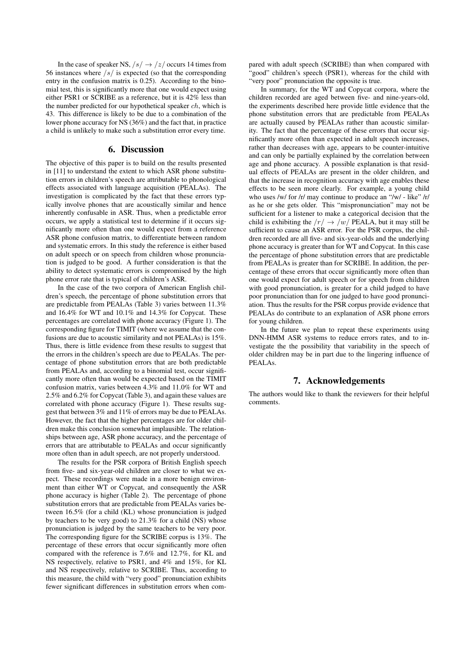In the case of speaker NS,  $/s / \rightarrow /z/$  occurs 14 times from 56 instances where  $/s/$  is expected (so that the corresponding entry in the confusion matrix is 0.25). According to the binomial test, this is significantly more that one would expect using either PSR1 or SCRIBE as a reference, but it is 42% less than the number predicted for our hypothetical speaker ch, which is 43. This difference is likely to be due to a combination of the lower phone accuracy for NS (36%) and the fact that, in practice a child is unlikely to make such a substitution error every time.

### 6. Discussion

The objective of this paper is to build on the results presented in [11] to understand the extent to which ASR phone substitution errors in children's speech are attributable to phonological effects associated with language acquisition (PEALAs). The investigation is complicated by the fact that these errors typically involve phones that are acoustically similar and hence inherently confusable in ASR. Thus, when a predictable error occurs, we apply a statistical test to determine if it occurs significantly more often than one would expect from a reference ASR phone confusion matrix, to differentiate between random and systematic errors. In this study the reference is either based on adult speech or on speech from children whose pronunciation is judged to be good. A further consideration is that the ability to detect systematic errors is compromised by the high phone error rate that is typical of children's ASR.

In the case of the two corpora of American English children's speech, the percentage of phone substitution errors that are predictable from PEALAs (Table 3) varies between 11.3% and 16.4% for WT and 10.1% and 14.3% for Copycat. These percentages are correlated with phone accuracy (Figure 1). The corresponding figure for TIMIT (where we assume that the confusions are due to acoustic similarity and not PEALAs) is 15%. Thus, there is little evidence from these results to suggest that the errors in the children's speech are due to PEALAs. The percentage of phone substitution errors that are both predictable from PEALAs and, according to a binomial test, occur significantly more often than would be expected based on the TIMIT confusion matrix, varies between 4.3% and 11.0% for WT and 2.5% and 6.2% for Copycat (Table 3), and again these values are correlated with phone accuracy (Figure 1). These results suggest that between 3% and 11% of errors may be due to PEALAs. However, the fact that the higher percentages are for older children make this conclusion somewhat implausible. The relationships between age, ASR phone accuracy, and the percentage of errors that are attributable to PEALAs and occur significantly more often than in adult speech, are not properly understood.

The results for the PSR corpora of British English speech from five- and six-year-old children are closer to what we expect. These recordings were made in a more benign environment than either WT or Copycat, and consequently the ASR phone accuracy is higher (Table 2). The percentage of phone substitution errors that are predictable from PEALAs varies between 16.5% (for a child (KL) whose pronunciation is judged by teachers to be very good) to 21.3% for a child (NS) whose pronunciation is judged by the same teachers to be very poor. The corresponding figure for the SCRIBE corpus is 13%. The percentage of these errors that occur significantly more often compared with the reference is 7.6% and 12.7%, for KL and NS respectively, relative to PSR1, and 4% and 15%, for KL and NS respectively, relative to SCRIBE. Thus, according to this measure, the child with "very good" pronunciation exhibits fewer significant differences in substitution errors when compared with adult speech (SCRIBE) than when compared with "good" children's speech (PSR1), whereas for the child with "very poor" pronunciation the opposite is true.

In summary, for the WT and Copycat corpora, where the children recorded are aged between five- and nine-years-old, the experiments described here provide little evidence that the phone substitution errors that are predictable from PEALAs are actually caused by PEALAs rather than acoustic similarity. The fact that the percentage of these errors that occur significantly more often than expected in adult speech increases, rather than decreases with age, appears to be counter-intuitive and can only be partially explained by the correlation between age and phone accuracy. A possible explanation is that residual effects of PEALAs are present in the older children, and that the increase in recognition accuracy with age enables these effects to be seen more clearly. For example, a young child who uses /w/ for /r/ may continue to produce an "/w/ - like" /r/ as he or she gets older. This "mispronunciation" may not be sufficient for a listener to make a categorical decision that the child is exhibiting the  $/r / \rightarrow /w/$  PEALA, but it may still be sufficient to cause an ASR error. For the PSR corpus, the children recorded are all five- and six-year-olds and the underlying phone accuracy is greater than for WT and Copycat. In this case the percentage of phone substitution errors that are predictable from PEALAs is greater than for SCRIBE. In addition, the percentage of these errors that occur significantly more often than one would expect for adult speech or for speech from children with good pronunciation, is greater for a child judged to have poor pronunciation than for one judged to have good pronunciation. Thus the results for the PSR corpus provide evidence that PEALAs do contribute to an explanation of ASR phone errors for young children.

In the future we plan to repeat these experiments using DNN-HMM ASR systems to reduce errors rates, and to investigate the the possibility that variability in the speech of older children may be in part due to the lingering influence of PEALAs.

# 7. Acknowledgements

The authors would like to thank the reviewers for their helpful comments.